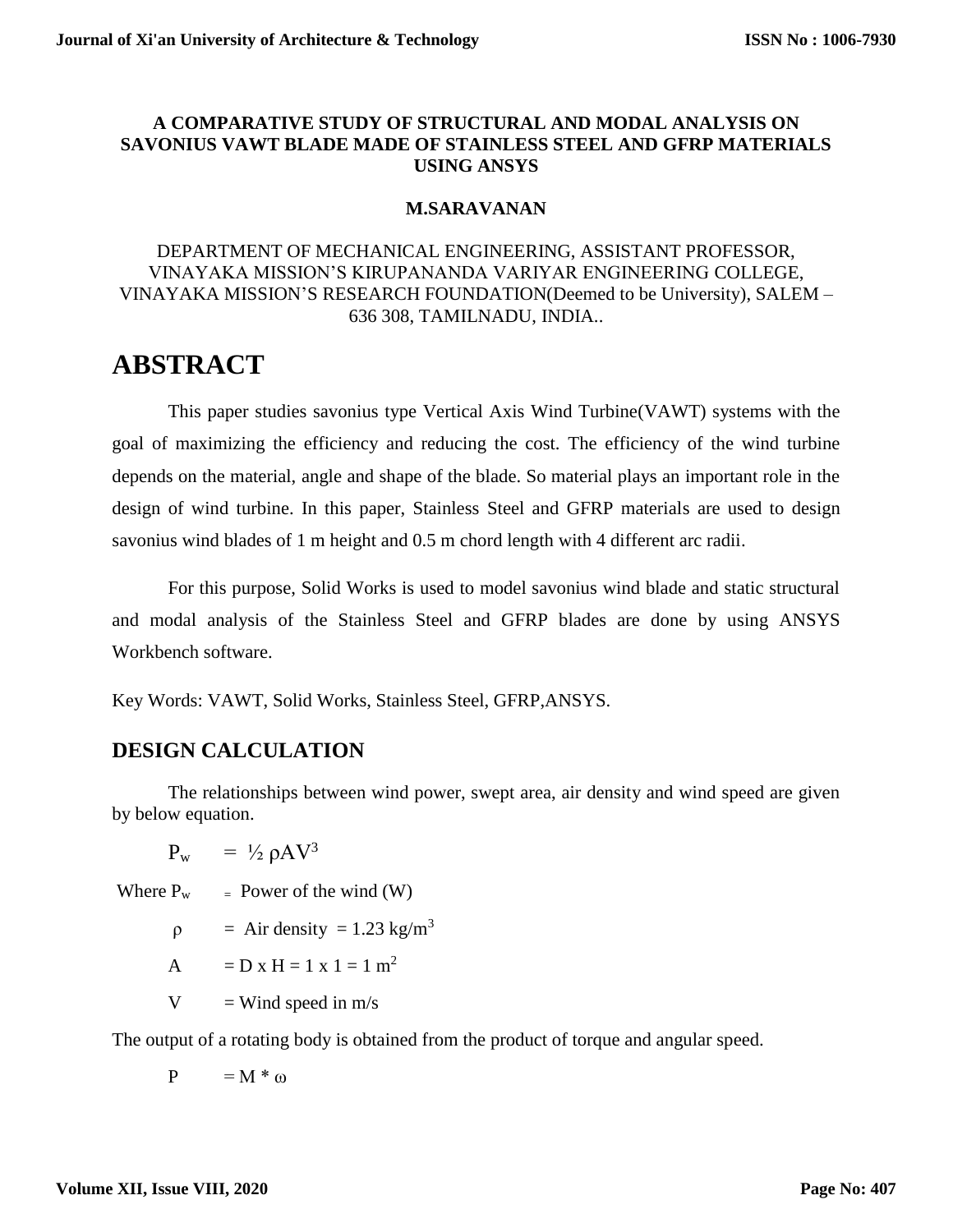#### **A COMPARATIVE STUDY OF STRUCTURAL AND MODAL ANALYSIS ON SAVONIUS VAWT BLADE MADE OF STAINLESS STEEL AND GFRP MATERIALS USING ANSYS**

#### **M.SARAVANAN**

#### DEPARTMENT OF MECHANICAL ENGINEERING, ASSISTANT PROFESSOR, VINAYAKA MISSION'S KIRUPANANDA VARIYAR ENGINEERING COLLEGE, VINAYAKA MISSION'S RESEARCH FOUNDATION(Deemed to be University), SALEM – 636 308, TAMILNADU, INDIA..

# **ABSTRACT**

This paper studies savonius type Vertical Axis Wind Turbine(VAWT) systems with the goal of maximizing the efficiency and reducing the cost. The efficiency of the wind turbine depends on the material, angle and shape of the blade. So material plays an important role in the design of wind turbine. In this paper, Stainless Steel and GFRP materials are used to design savonius wind blades of 1 m height and 0.5 m chord length with 4 different arc radii.

For this purpose, Solid Works is used to model savonius wind blade and static structural and modal analysis of the Stainless Steel and GFRP blades are done by using ANSYS Workbench software.

Key Words: VAWT, Solid Works, Stainless Steel, GFRP,ANSYS.

## **DESIGN CALCULATION**

The relationships between wind power, swept area, air density and wind speed are given by below equation.

 $P_w$  = ½  $\rho A V^3$ 

Where  $P_w = Power of the wind (W)$ 

$$
\rho = Air density = 1.23 \text{ kg/m}^3
$$

$$
A = D x H = 1 x 1 = 1 m2
$$

 $V =$ Wind speed in m/s

The output of a rotating body is obtained from the product of torque and angular speed.

$$
P = M * \omega
$$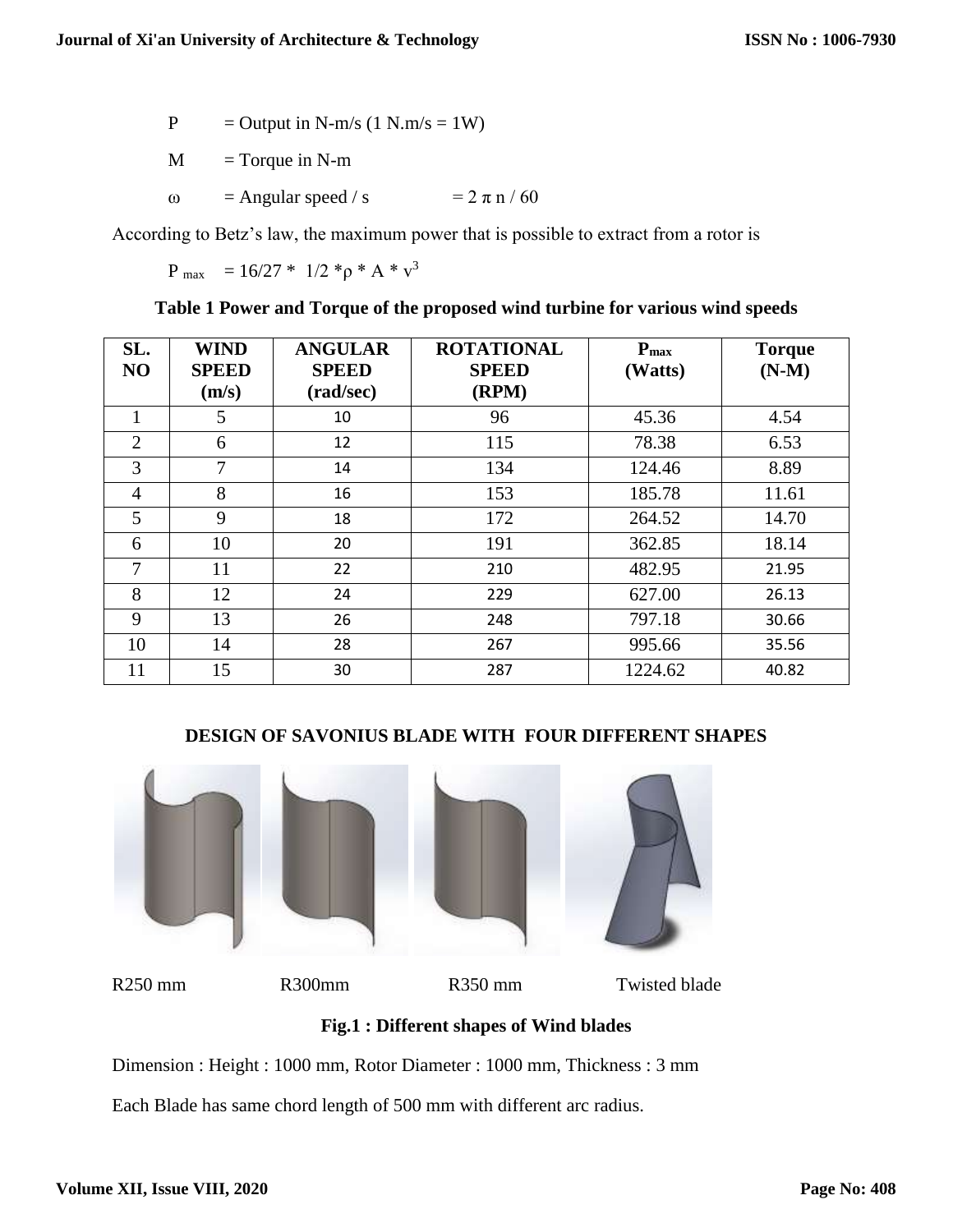$$
P = Output in N-m/s (1 N.m/s = 1 W)
$$

 $M = T$ orque in N-m

ω = Angular speed / s =  $2πn/60$ 

According to Betz's law, the maximum power that is possible to extract from a rotor is

P max =  $16/27 * 1/2 * p * A * v<sup>3</sup>$ 

**Table 1 Power and Torque of the proposed wind turbine for various wind speeds**

| SL.<br>NO      | <b>WIND</b><br><b>SPEED</b><br>(m/s) | <b>ANGULAR</b><br><b>SPEED</b><br>(rad/sec) | <b>ROTATIONAL</b><br><b>SPEED</b><br>(RPM) | $P_{\text{max}}$<br>(Watts) | <b>Torque</b><br>$(N-M)$ |
|----------------|--------------------------------------|---------------------------------------------|--------------------------------------------|-----------------------------|--------------------------|
|                | 5                                    | 10                                          | 96                                         | 45.36                       | 4.54                     |
| $\overline{2}$ | 6                                    | 12                                          | 115                                        | 78.38                       | 6.53                     |
| 3              | $\tau$                               | 14                                          | 134                                        | 124.46                      | 8.89                     |
| $\overline{4}$ | 8                                    | 16                                          | 153                                        | 185.78                      | 11.61                    |
| 5              | 9                                    | 18                                          | 172                                        | 264.52                      | 14.70                    |
| 6              | 10                                   | 20                                          | 191                                        | 362.85                      | 18.14                    |
| 7              | 11                                   | 22                                          | 210                                        | 482.95                      | 21.95                    |
| 8              | 12                                   | 24                                          | 229                                        | 627.00                      | 26.13                    |
| 9              | 13                                   | 26                                          | 248                                        | 797.18                      | 30.66                    |
| 10             | 14                                   | 28                                          | 267                                        | 995.66                      | 35.56                    |
| 11             | 15                                   | 30                                          | 287                                        | 1224.62                     | 40.82                    |

#### **DESIGN OF SAVONIUS BLADE WITH FOUR DIFFERENT SHAPES**



**Fig.1 : Different shapes of Wind blades**

Dimension : Height : 1000 mm, Rotor Diameter : 1000 mm, Thickness : 3 mm

Each Blade has same chord length of 500 mm with different arc radius.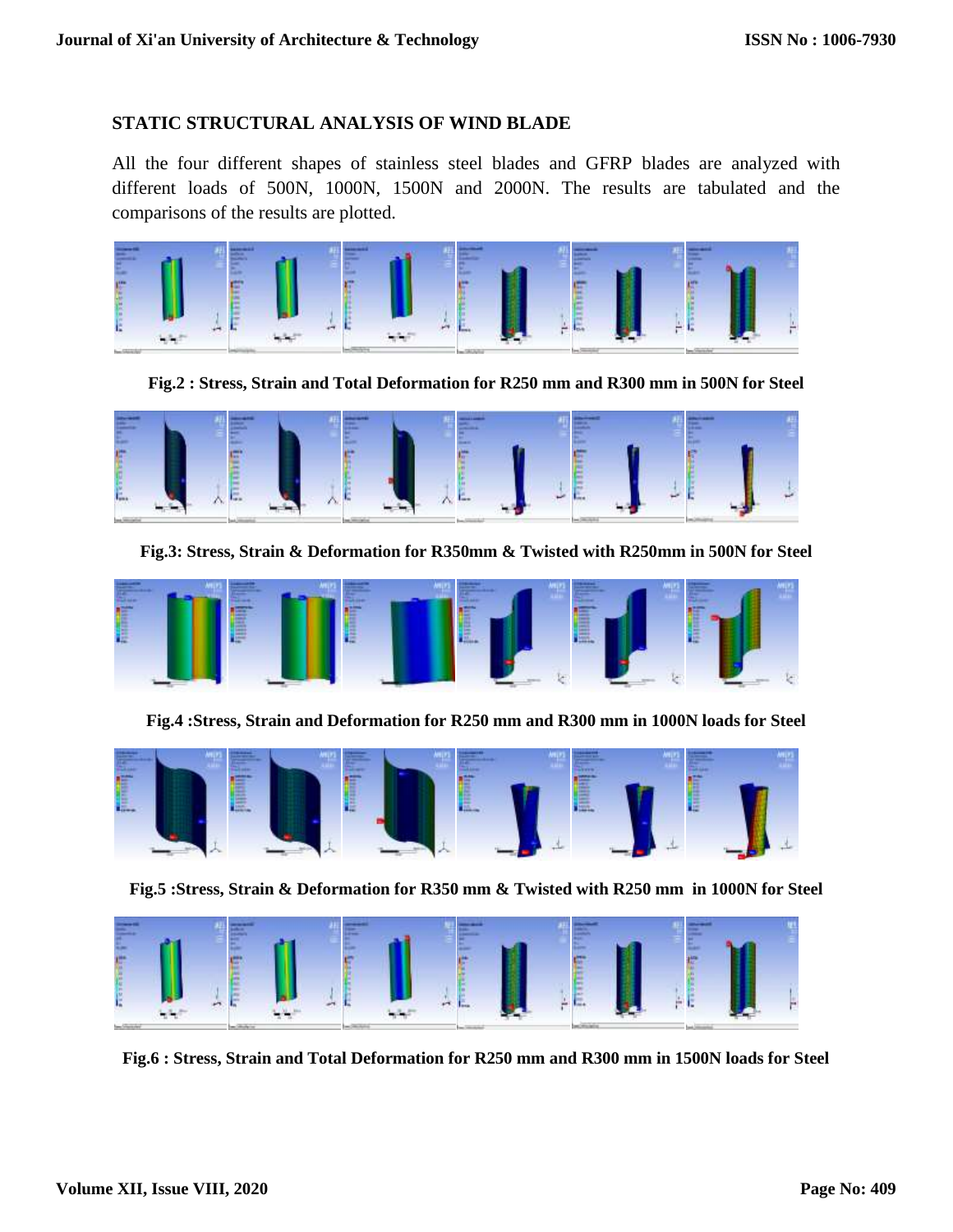#### **STATIC STRUCTURAL ANALYSIS OF WIND BLADE**

All the four different shapes of stainless steel blades and GFRP blades are analyzed with different loads of 500N, 1000N, 1500N and 2000N. The results are tabulated and the comparisons of the results are plotted.



**Fig.2 : Stress, Strain and Total Deformation for R250 mm and R300 mm in 500N for Steel**



**Fig.3: Stress, Strain & Deformation for R350mm & Twisted with R250mm in 500N for Steel**



**Fig.4 :Stress, Strain and Deformation for R250 mm and R300 mm in 1000N loads for Steel**



**Fig.5 :Stress, Strain & Deformation for R350 mm & Twisted with R250 mm in 1000N for Steel**



**Fig.6 : Stress, Strain and Total Deformation for R250 mm and R300 mm in 1500N loads for Steel**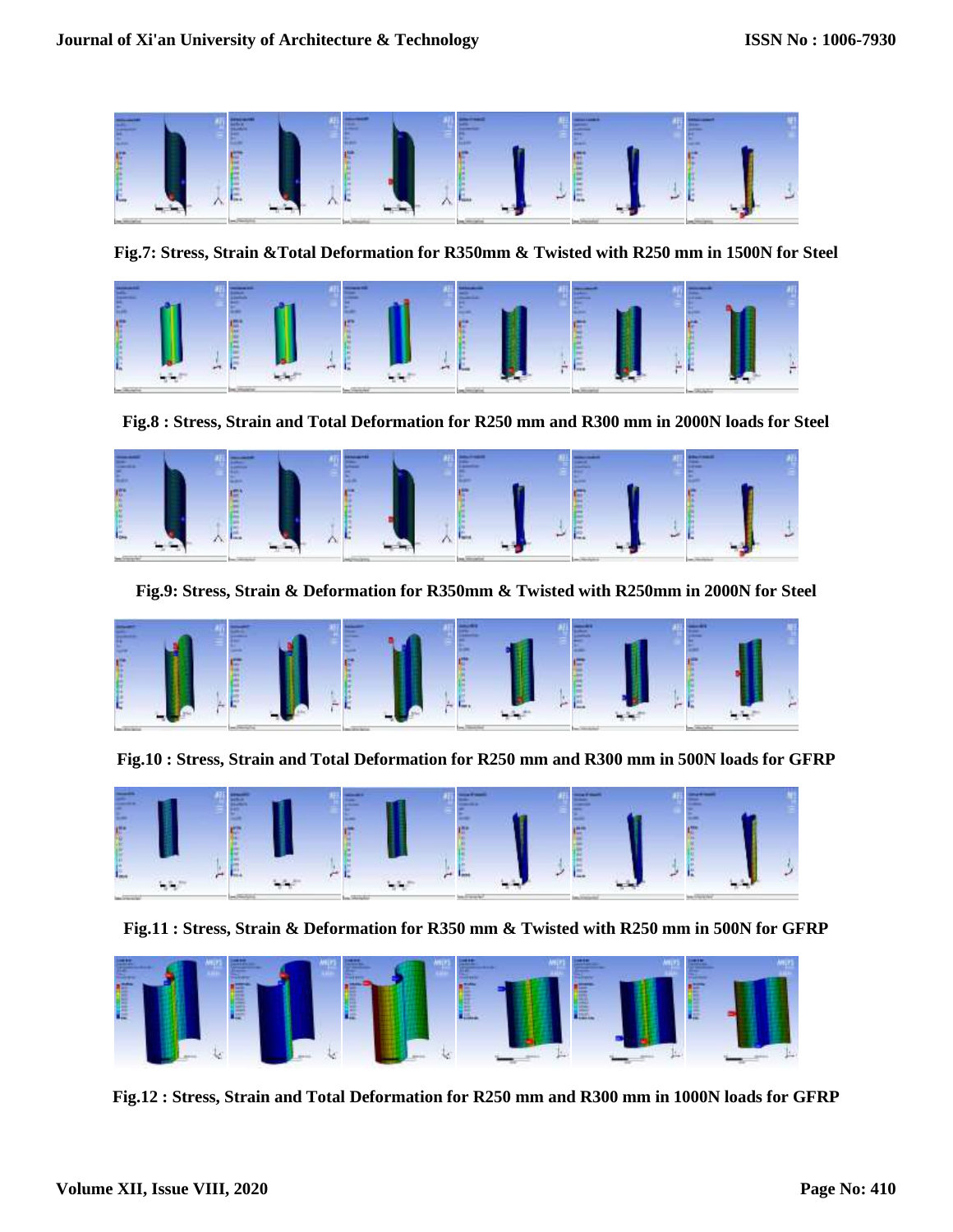

**Fig.7: Stress, Strain &Total Deformation for R350mm & Twisted with R250 mm in 1500N for Steel**



**Fig.8 : Stress, Strain and Total Deformation for R250 mm and R300 mm in 2000N loads for Steel**



**Fig.9: Stress, Strain & Deformation for R350mm & Twisted with R250mm in 2000N for Steel**



**Fig.10 : Stress, Strain and Total Deformation for R250 mm and R300 mm in 500N loads for GFRP**



**Fig.11 : Stress, Strain & Deformation for R350 mm & Twisted with R250 mm in 500N for GFRP** 



**Fig.12 : Stress, Strain and Total Deformation for R250 mm and R300 mm in 1000N loads for GFRP**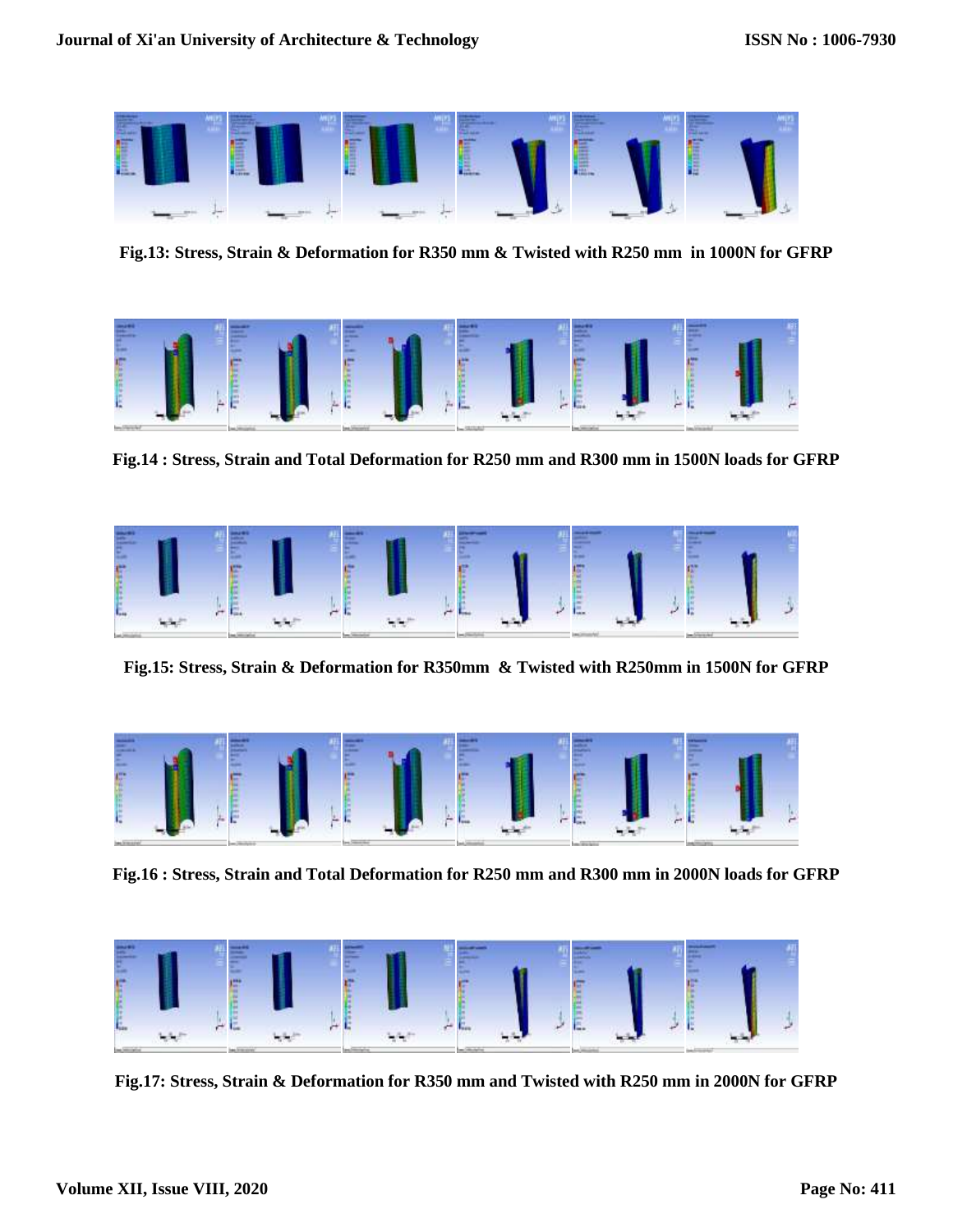

**Fig.13: Stress, Strain & Deformation for R350 mm & Twisted with R250 mm in 1000N for GFRP** 



**Fig.14 : Stress, Strain and Total Deformation for R250 mm and R300 mm in 1500N loads for GFRP**



**Fig.15: Stress, Strain & Deformation for R350mm & Twisted with R250mm in 1500N for GFRP**



**Fig.16 : Stress, Strain and Total Deformation for R250 mm and R300 mm in 2000N loads for GFRP**



**Fig.17: Stress, Strain & Deformation for R350 mm and Twisted with R250 mm in 2000N for GFRP**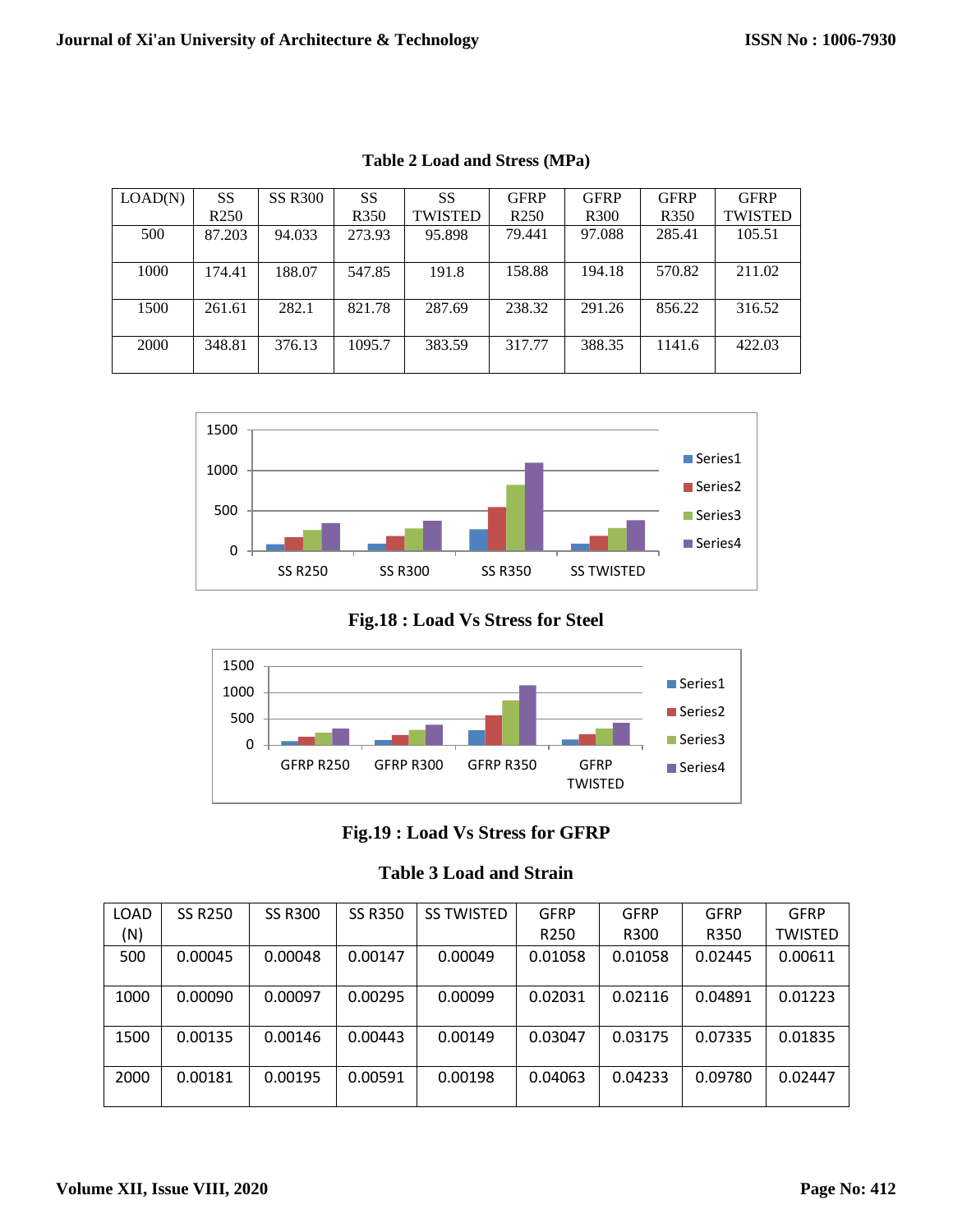| LOAD(N) | <b>SS</b>        | <b>SS R300</b> | <b>SS</b>        | SS             | <b>GFRP</b>      | <b>GFRP</b>      | <b>GFRP</b>      | <b>GFRP</b>    |
|---------|------------------|----------------|------------------|----------------|------------------|------------------|------------------|----------------|
|         | R <sub>250</sub> |                | R <sub>350</sub> | <b>TWISTED</b> | R <sub>250</sub> | R <sub>300</sub> | R <sub>350</sub> | <b>TWISTED</b> |
| 500     | 87.203           | 94.033         | 273.93           | 95.898         | 79.441           | 97.088           | 285.41           | 105.51         |
|         |                  |                |                  |                |                  |                  |                  |                |
| 1000    | 174.41           | 188.07         | 547.85           | 191.8          | 158.88           | 194.18           | 570.82           | 211.02         |
|         |                  |                |                  |                |                  |                  |                  |                |
| 1500    | 261.61           | 282.1          | 821.78           | 287.69         | 238.32           | 291.26           | 856.22           | 316.52         |
|         |                  |                |                  |                |                  |                  |                  |                |
| 2000    | 348.81           | 376.13         | 1095.7           | 383.59         | 317.77           | 388.35           | 1141.6           | 422.03         |
|         |                  |                |                  |                |                  |                  |                  |                |

**Table 2 Load and Stress (MPa)**



**Fig.18 : Load Vs Stress for Steel**



**Fig.19 : Load Vs Stress for GFRP**

| <b>Table 3 Load and Strain</b> |  |  |  |
|--------------------------------|--|--|--|
|--------------------------------|--|--|--|

| LOAD | <b>SS R250</b> | <b>SS R300</b> | <b>SS R350</b> | <b>SS TWISTED</b> | <b>GFRP</b>      | <b>GFRP</b> | GFRP    | <b>GFRP</b> |
|------|----------------|----------------|----------------|-------------------|------------------|-------------|---------|-------------|
| (N)  |                |                |                |                   | R <sub>250</sub> | R300        | R350    | TWISTED     |
| 500  | 0.00045        | 0.00048        | 0.00147        | 0.00049           | 0.01058          | 0.01058     | 0.02445 | 0.00611     |
| 1000 | 0.00090        | 0.00097        | 0.00295        | 0.00099           | 0.02031          | 0.02116     | 0.04891 | 0.01223     |
| 1500 | 0.00135        | 0.00146        | 0.00443        | 0.00149           | 0.03047          | 0.03175     | 0.07335 | 0.01835     |
| 2000 | 0.00181        | 0.00195        | 0.00591        | 0.00198           | 0.04063          | 0.04233     | 0.09780 | 0.02447     |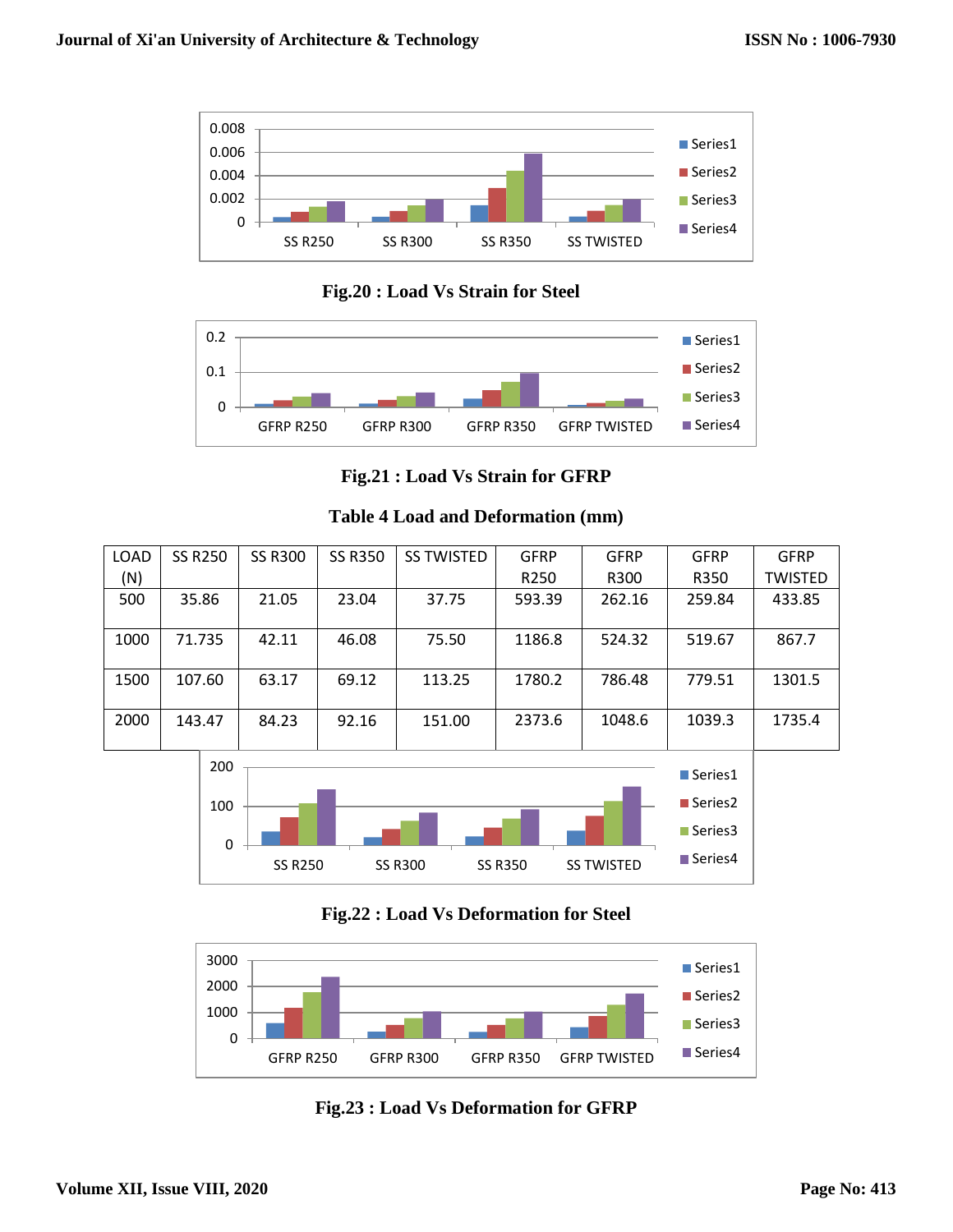

 **Fig.20 : Load Vs Strain for Steel**



**Fig.21 : Load Vs Strain for GFRP**

| LOAD | <b>SS R250</b> | <b>SS R300</b> | <b>SS R350</b> | <b>SS TWISTED</b> | <b>GFRP</b>      | <b>GFRP</b> | <b>GFRP</b> | <b>GFRP</b>    |
|------|----------------|----------------|----------------|-------------------|------------------|-------------|-------------|----------------|
| (N)  |                |                |                |                   | R <sub>250</sub> | R300        | R350        | <b>TWISTED</b> |
| 500  | 35.86          | 21.05          | 23.04          | 37.75             | 593.39           | 262.16      | 259.84      | 433.85         |
| 1000 | 71.735         | 42.11          | 46.08          | 75.50             | 1186.8           | 524.32      | 519.67      | 867.7          |
| 1500 | 107.60         | 63.17          | 69.12          | 113.25            | 1780.2           | 786.48      | 779.51      | 1301.5         |
| 2000 | 143.47         | 84.23          | 92.16          | 151.00            | 2373.6           | 1048.6      | 1039.3      | 1735.4         |

**Table 4 Load and Deformation (mm)**



**Fig.22 : Load Vs Deformation for Steel**



**Fig.23 : Load Vs Deformation for GFRP**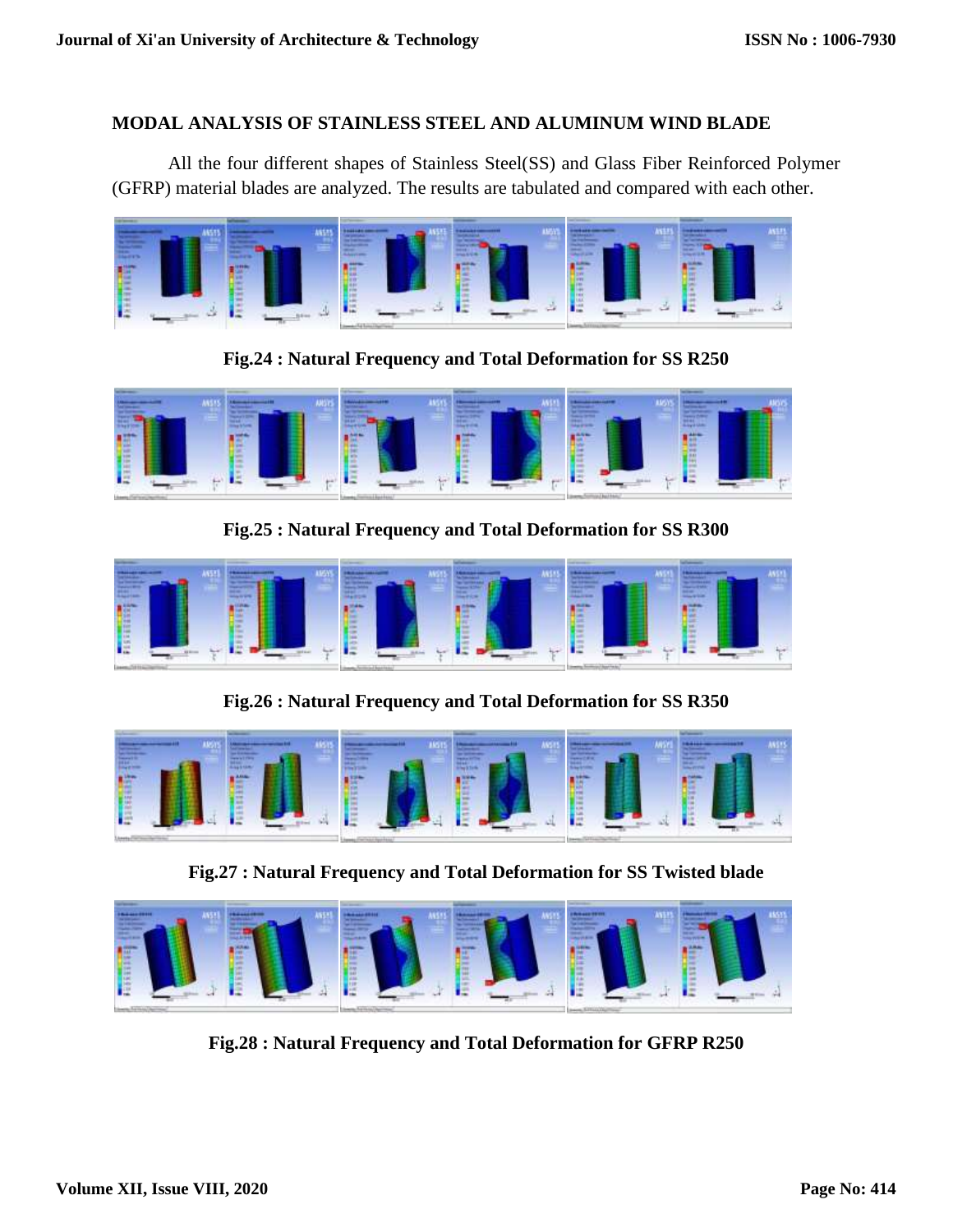#### **MODAL ANALYSIS OF STAINLESS STEEL AND ALUMINUM WIND BLADE**

All the four different shapes of Stainless Steel(SS) and Glass Fiber Reinforced Polymer (GFRP) material blades are analyzed. The results are tabulated and compared with each other.



**Fig.24 : Natural Frequency and Total Deformation for SS R250** 



**Fig.25 : Natural Frequency and Total Deformation for SS R300** 



**Fig.26 : Natural Frequency and Total Deformation for SS R350** 



**Fig.27 : Natural Frequency and Total Deformation for SS Twisted blade**



**Fig.28 : Natural Frequency and Total Deformation for GFRP R250**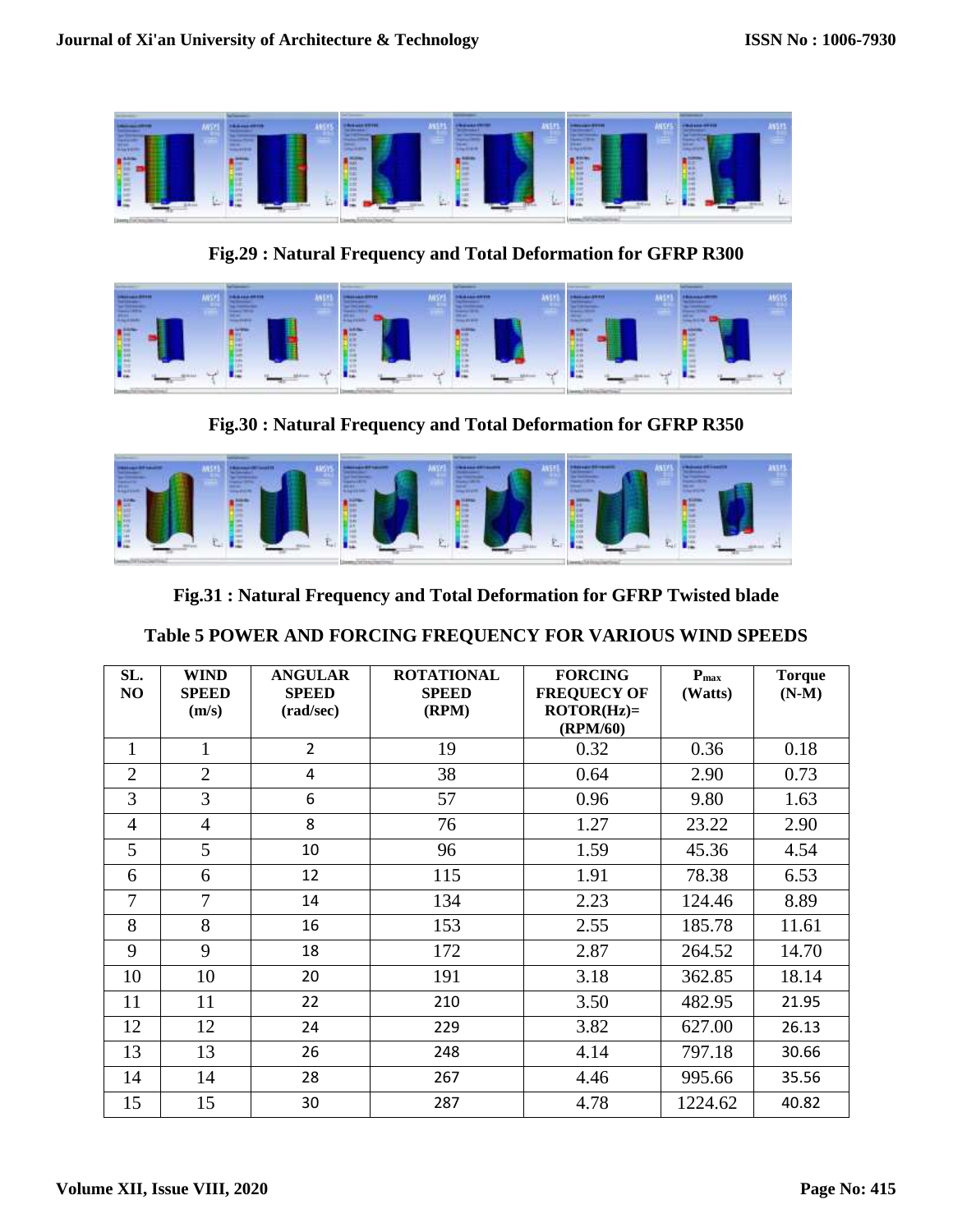|  |  | FU JU JU JU JELINI. |
|--|--|---------------------|
|  |  |                     |

**Fig.29 : Natural Frequency and Total Deformation for GFRP R300** 



**Fig.30 : Natural Frequency and Total Deformation for GFRP R350** 



**Fig.31 : Natural Frequency and Total Deformation for GFRP Twisted blade**

| SL.<br>N <sub>O</sub> | <b>WIND</b><br><b>SPEED</b><br>(m/s) | <b>ANGULAR</b><br><b>SPEED</b><br>(rad/sec) | <b>ROTATIONAL</b><br><b>SPEED</b><br>(RPM) | <b>FORCING</b><br><b>FREQUECY OF</b><br>$ROTOR(Hz) =$<br>(RPM/60) | $P_{\text{max}}$<br>(Watts) | <b>Torque</b><br>$(N-M)$ |
|-----------------------|--------------------------------------|---------------------------------------------|--------------------------------------------|-------------------------------------------------------------------|-----------------------------|--------------------------|
| $\mathbf{1}$          | $\mathbf{1}$                         | $\overline{2}$                              | 19                                         | 0.32                                                              | 0.36                        | 0.18                     |
| $\overline{2}$        | $\overline{2}$                       | 4                                           | 38                                         | 0.64                                                              | 2.90                        | 0.73                     |
| 3                     | 3                                    | 6                                           | 57                                         | 0.96                                                              | 9.80                        | 1.63                     |
| $\overline{4}$        | $\overline{4}$                       | 8                                           | 76                                         | 1.27                                                              | 23.22                       | 2.90                     |
| 5                     | 5                                    | 10                                          | 96                                         | 1.59                                                              | 45.36                       | 4.54                     |
| 6                     | 6                                    | 12                                          | 115                                        | 1.91                                                              | 78.38                       | 6.53                     |
| $\overline{7}$        | $\overline{7}$                       | 14                                          | 134                                        | 2.23                                                              | 124.46                      | 8.89                     |
| 8                     | 8                                    | 16                                          | 153                                        | 2.55                                                              | 185.78                      | 11.61                    |
| 9                     | 9                                    | 18                                          | 172                                        | 2.87                                                              | 264.52                      | 14.70                    |
| 10                    | 10                                   | 20                                          | 191                                        | 3.18                                                              | 362.85                      | 18.14                    |
| 11                    | 11                                   | 22                                          | 210                                        | 3.50                                                              | 482.95                      | 21.95                    |
| 12                    | 12                                   | 24                                          | 229                                        | 3.82                                                              | 627.00                      | 26.13                    |
| 13                    | 13                                   | 26                                          | 248                                        | 4.14                                                              | 797.18                      | 30.66                    |
| 14                    | 14                                   | 28                                          | 267                                        | 4.46                                                              | 995.66                      | 35.56                    |
| 15                    | 15                                   | 30                                          | 287                                        | 4.78                                                              | 1224.62                     | 40.82                    |

# **Table 5 POWER AND FORCING FREQUENCY FOR VARIOUS WIND SPEEDS**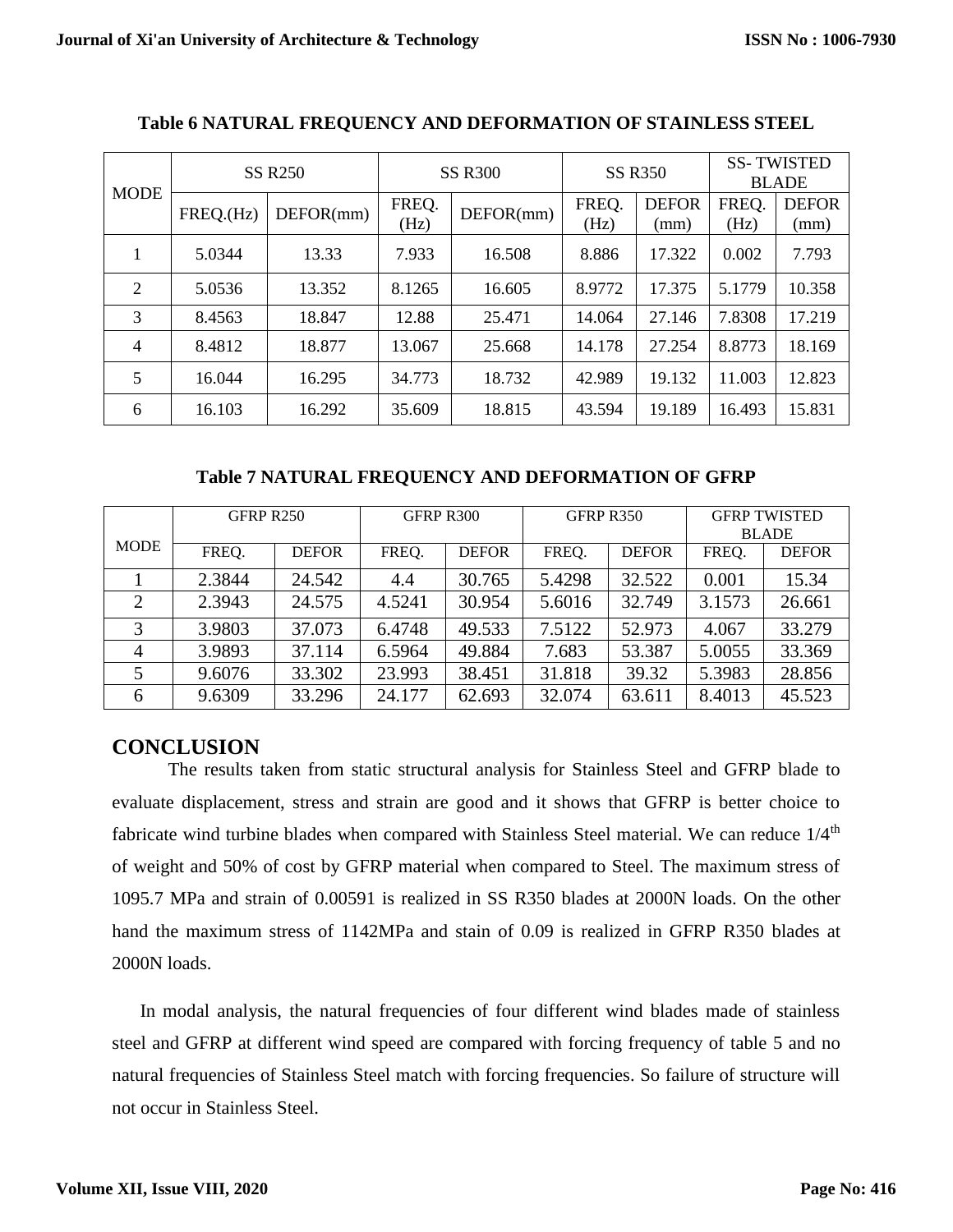| <b>MODE</b>    | <b>SS R250</b> |           | <b>SS R300</b> |           | <b>SS R350</b> |                      | <b>SS-TWISTED</b><br><b>BLADE</b> |                      |
|----------------|----------------|-----------|----------------|-----------|----------------|----------------------|-----------------------------------|----------------------|
|                | FREQ.(Hz)      | DEFOR(mm) | FREQ.<br>(Hz)  | DEFOR(mm) | FREQ.<br>(Hz)  | <b>DEFOR</b><br>(mm) | FREQ.<br>(Hz)                     | <b>DEFOR</b><br>(mm) |
| 1<br>л.        | 5.0344         | 13.33     | 7.933          | 16.508    | 8.886          | 17.322               | 0.002                             | 7.793                |
| $\overline{2}$ | 5.0536         | 13.352    | 8.1265         | 16.605    | 8.9772         | 17.375               | 5.1779                            | 10.358               |
| 3              | 8.4563         | 18.847    | 12.88          | 25.471    | 14.064         | 27.146               | 7.8308                            | 17.219               |
| 4              | 8.4812         | 18.877    | 13.067         | 25.668    | 14.178         | 27.254               | 8.8773                            | 18.169               |
| 5              | 16.044         | 16.295    | 34.773         | 18.732    | 42.989         | 19.132               | 11.003                            | 12.823               |
| 6              | 16.103         | 16.292    | 35.609         | 18.815    | 43.594         | 19.189               | 16.493                            | 15.831               |

#### **Table 6 NATURAL FREQUENCY AND DEFORMATION OF STAINLESS STEEL**

**Table 7 NATURAL FREQUENCY AND DEFORMATION OF GFRP**

|                | GFRP R250 |              | GFRP R300 |              | GFRP R350 |              | <b>GFRP TWISTED</b> |              |
|----------------|-----------|--------------|-----------|--------------|-----------|--------------|---------------------|--------------|
|                |           |              |           |              |           |              | <b>BLADE</b>        |              |
| <b>MODE</b>    | FREQ.     | <b>DEFOR</b> | FREQ.     | <b>DEFOR</b> | FREQ.     | <b>DEFOR</b> | FREQ.               | <b>DEFOR</b> |
|                | 2.3844    | 24.542       | 4.4       | 30.765       | 5.4298    | 32.522       | 0.001               | 15.34        |
| $\overline{2}$ | 2.3943    | 24.575       | 4.5241    | 30.954       | 5.6016    | 32.749       | 3.1573              | 26.661       |
| 3              | 3.9803    | 37.073       | 6.4748    | 49.533       | 7.5122    | 52.973       | 4.067               | 33.279       |
| 4              | 3.9893    | 37.114       | 6.5964    | 49.884       | 7.683     | 53.387       | 5.0055              | 33.369       |
|                | 9.6076    | 33.302       | 23.993    | 38.451       | 31.818    | 39.32        | 5.3983              | 28.856       |
| 6              | 9.6309    | 33.296       | 24.177    | 62.693       | 32.074    | 63.611       | 8.4013              | 45.523       |

## **CONCLUSION**

The results taken from static structural analysis for Stainless Steel and GFRP blade to evaluate displacement, stress and strain are good and it shows that GFRP is better choice to fabricate wind turbine blades when compared with Stainless Steel material. We can reduce  $1/4<sup>th</sup>$ of weight and 50% of cost by GFRP material when compared to Steel. The maximum stress of 1095.7 MPa and strain of 0.00591 is realized in SS R350 blades at 2000N loads. On the other hand the maximum stress of 1142MPa and stain of 0.09 is realized in GFRP R350 blades at 2000N loads.

In modal analysis, the natural frequencies of four different wind blades made of stainless steel and GFRP at different wind speed are compared with forcing frequency of table 5 and no natural frequencies of Stainless Steel match with forcing frequencies. So failure of structure will not occur in Stainless Steel.